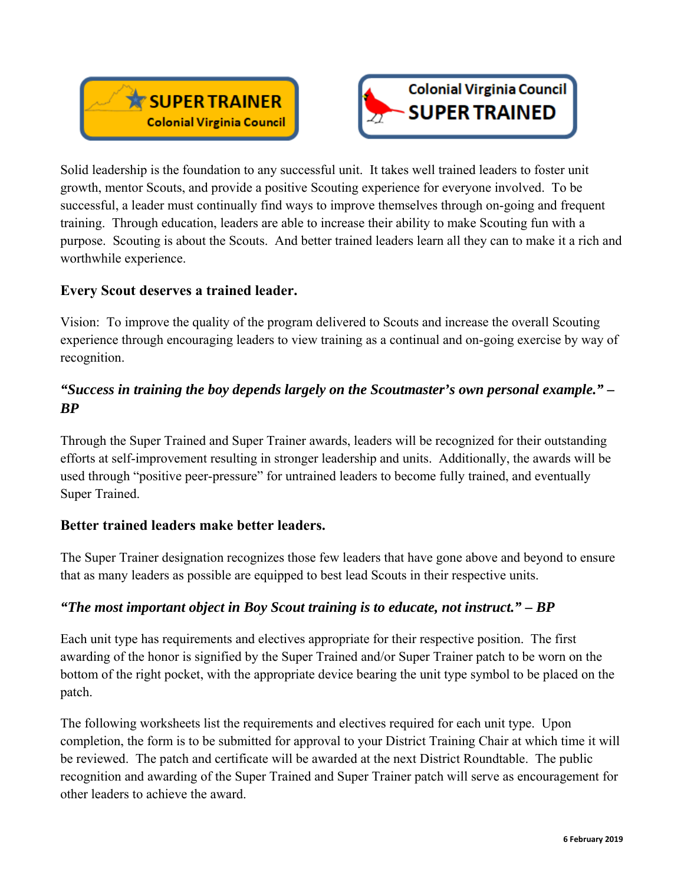



Solid leadership is the foundation to any successful unit. It takes well trained leaders to foster unit growth, mentor Scouts, and provide a positive Scouting experience for everyone involved. To be successful, a leader must continually find ways to improve themselves through on-going and frequent training. Through education, leaders are able to increase their ability to make Scouting fun with a purpose. Scouting is about the Scouts. And better trained leaders learn all they can to make it a rich and worthwhile experience.

### **Every Scout deserves a trained leader.**

Vision: To improve the quality of the program delivered to Scouts and increase the overall Scouting experience through encouraging leaders to view training as a continual and on-going exercise by way of recognition.

### *"Success in training the boy depends largely on the Scoutmaster's own personal example." – BP*

Through the Super Trained and Super Trainer awards, leaders will be recognized for their outstanding efforts at self-improvement resulting in stronger leadership and units. Additionally, the awards will be used through "positive peer-pressure" for untrained leaders to become fully trained, and eventually Super Trained.

### **Better trained leaders make better leaders.**

The Super Trainer designation recognizes those few leaders that have gone above and beyond to ensure that as many leaders as possible are equipped to best lead Scouts in their respective units.

### *"The most important object in Boy Scout training is to educate, not instruct." – BP*

Each unit type has requirements and electives appropriate for their respective position. The first awarding of the honor is signified by the Super Trained and/or Super Trainer patch to be worn on the bottom of the right pocket, with the appropriate device bearing the unit type symbol to be placed on the patch.

The following worksheets list the requirements and electives required for each unit type. Upon completion, the form is to be submitted for approval to your District Training Chair at which time it will be reviewed. The patch and certificate will be awarded at the next District Roundtable. The public recognition and awarding of the Super Trained and Super Trainer patch will serve as encouragement for other leaders to achieve the award.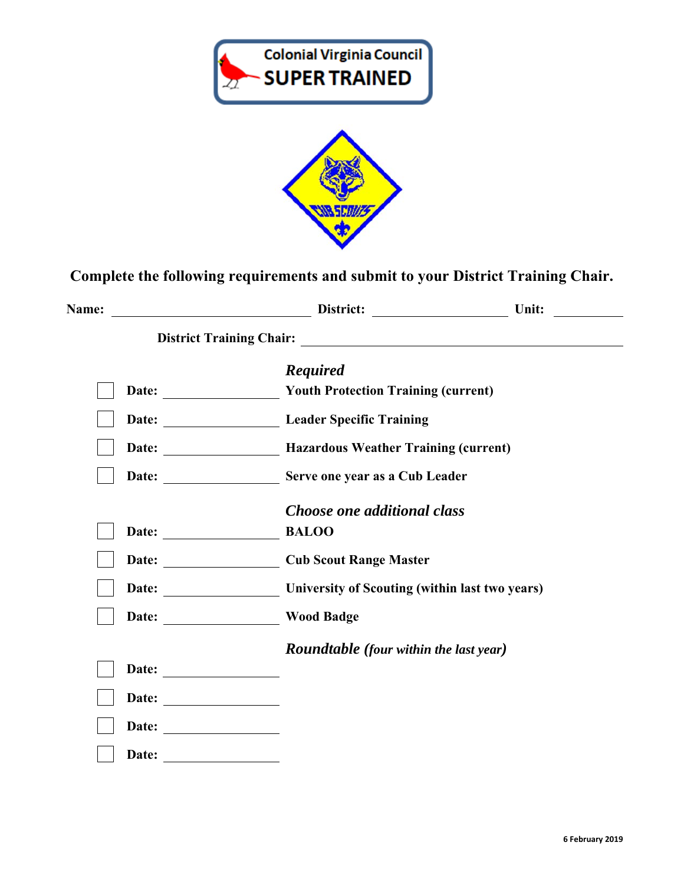



|                       |                                                      | Unit:<br><u>and a strong strong part of the strong strong part of the strong strong strong strong strong strong strong strong strong strong strong strong strong strong strong strong strong strong strong strong strong strong strong st</u> |
|-----------------------|------------------------------------------------------|-----------------------------------------------------------------------------------------------------------------------------------------------------------------------------------------------------------------------------------------------|
|                       |                                                      |                                                                                                                                                                                                                                               |
|                       | <b>Required</b>                                      |                                                                                                                                                                                                                                               |
|                       | Date: Vouth Protection Training (current)            |                                                                                                                                                                                                                                               |
|                       | Date: Leader Specific Training                       |                                                                                                                                                                                                                                               |
|                       |                                                      |                                                                                                                                                                                                                                               |
|                       |                                                      |                                                                                                                                                                                                                                               |
|                       | Choose one additional class                          |                                                                                                                                                                                                                                               |
| Date:                 | <b>BALOO</b>                                         |                                                                                                                                                                                                                                               |
|                       | Date: Cub Scout Range Master                         |                                                                                                                                                                                                                                               |
|                       | Date: University of Scouting (within last two years) |                                                                                                                                                                                                                                               |
| Date: Wood Badge      |                                                      |                                                                                                                                                                                                                                               |
|                       | <b>Roundtable</b> (four within the last year)        |                                                                                                                                                                                                                                               |
| Date: $\qquad \qquad$ |                                                      |                                                                                                                                                                                                                                               |
| Date: $\qquad \qquad$ |                                                      |                                                                                                                                                                                                                                               |
| Date:                 |                                                      |                                                                                                                                                                                                                                               |
|                       |                                                      |                                                                                                                                                                                                                                               |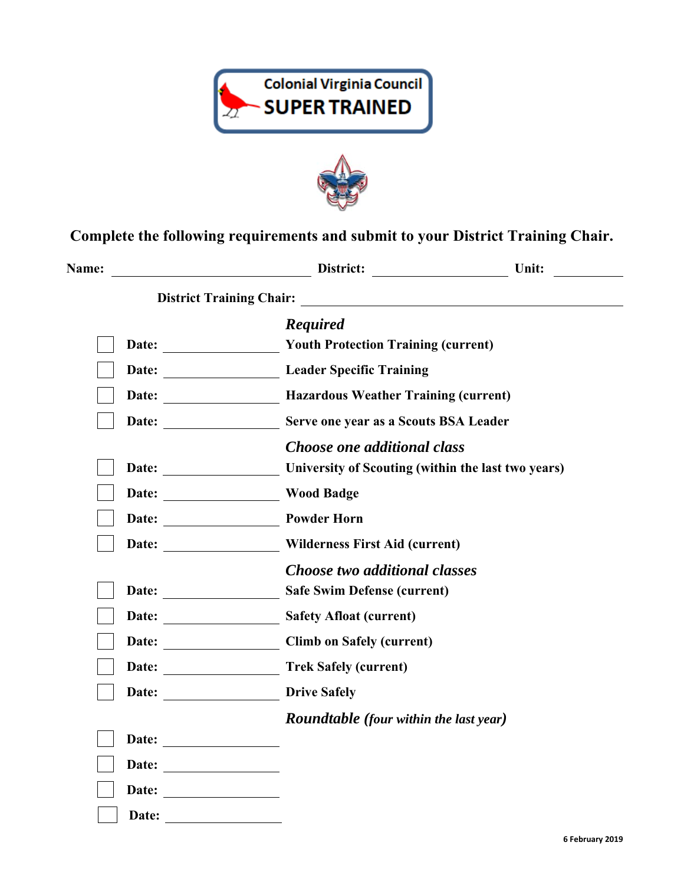



| Name:                                                                                                                                                                                                                          | District: Unit:                                                 |  |
|--------------------------------------------------------------------------------------------------------------------------------------------------------------------------------------------------------------------------------|-----------------------------------------------------------------|--|
|                                                                                                                                                                                                                                |                                                                 |  |
|                                                                                                                                                                                                                                | <b>Required</b>                                                 |  |
| Date:                                                                                                                                                                                                                          | <b>Youth Protection Training (current)</b>                      |  |
|                                                                                                                                                                                                                                | Date: Leader Specific Training                                  |  |
|                                                                                                                                                                                                                                | Date: <b>Mazardous Weather Training (current)</b>               |  |
|                                                                                                                                                                                                                                | Date: Serve one year as a Scouts BSA Leader                     |  |
|                                                                                                                                                                                                                                | Choose one additional class                                     |  |
| Date: the contract of the contract of the contract of the contract of the contract of the contract of the contract of the contract of the contract of the contract of the contract of the contract of the contract of the cont | University of Scouting (within the last two years)              |  |
| Date:                                                                                                                                                                                                                          | <b>Wood Badge</b>                                               |  |
| Date:                                                                                                                                                                                                                          | <b>Powder Horn</b>                                              |  |
|                                                                                                                                                                                                                                | Date: __________________________ Wilderness First Aid (current) |  |
|                                                                                                                                                                                                                                | Choose two additional classes                                   |  |
|                                                                                                                                                                                                                                | <b>Safe Swim Defense (current)</b>                              |  |
|                                                                                                                                                                                                                                | Date: Safety Afloat (current)                                   |  |
|                                                                                                                                                                                                                                | Date: Climb on Safely (current)                                 |  |
|                                                                                                                                                                                                                                | Date: Trek Safely (current)                                     |  |
|                                                                                                                                                                                                                                | Date: Drive Safely                                              |  |
|                                                                                                                                                                                                                                | <b>Roundtable</b> (four within the last year)                   |  |
|                                                                                                                                                                                                                                |                                                                 |  |
|                                                                                                                                                                                                                                |                                                                 |  |
|                                                                                                                                                                                                                                |                                                                 |  |
| Date:                                                                                                                                                                                                                          |                                                                 |  |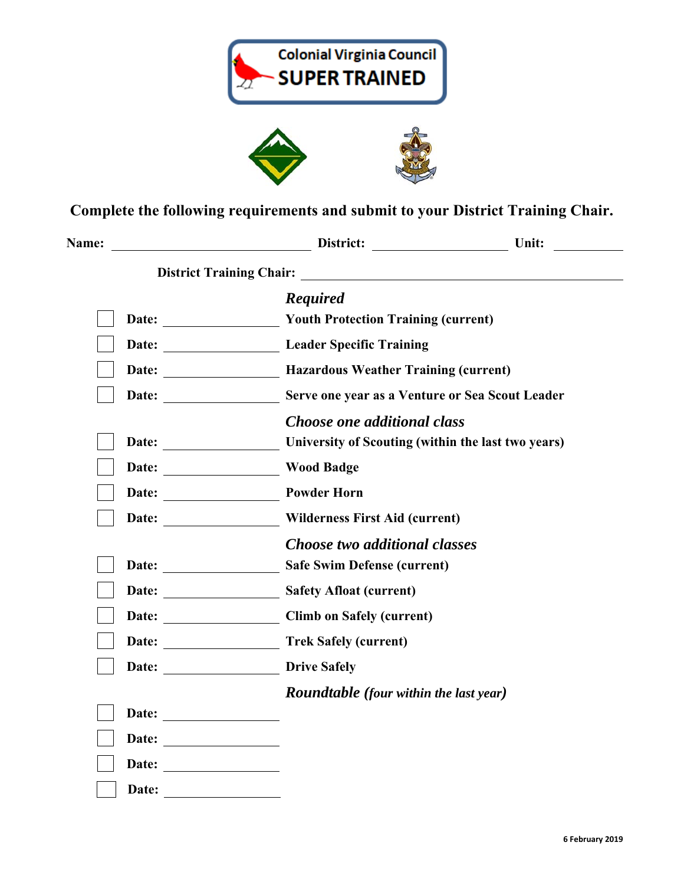

| Name:                        | District: Unit:                                          |  |
|------------------------------|----------------------------------------------------------|--|
|                              |                                                          |  |
|                              | <b>Required</b>                                          |  |
|                              |                                                          |  |
|                              | Date: Leader Specific Training                           |  |
|                              |                                                          |  |
|                              | Date: Serve one year as a Venture or Sea Scout Leader    |  |
|                              | Choose one additional class                              |  |
|                              | Date: University of Scouting (within the last two years) |  |
|                              | Date: Wood Badge                                         |  |
|                              |                                                          |  |
|                              |                                                          |  |
|                              | Choose two additional classes                            |  |
|                              | <b>Safe Swim Defense (current)</b>                       |  |
|                              | Date: Safety Afloat (current)                            |  |
|                              |                                                          |  |
|                              |                                                          |  |
|                              | Date: Drive Safely                                       |  |
|                              | <b>Roundtable</b> (four within the last year)            |  |
| Date: $\qquad \qquad \qquad$ |                                                          |  |
|                              |                                                          |  |
|                              |                                                          |  |
|                              |                                                          |  |
|                              |                                                          |  |